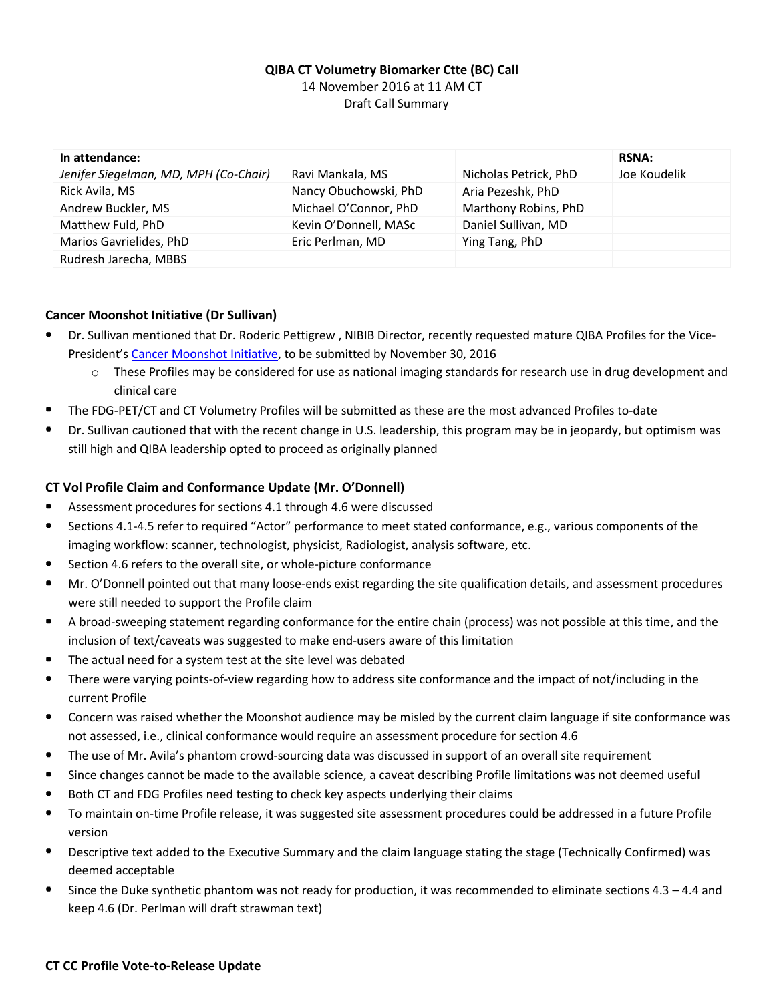# **QIBA CT Volumetry Biomarker Ctte (BC) Call** 14 November 2016 at 11 AM CT Draft Call Summary

| In attendance:                        |                       |                       | <b>RSNA:</b> |
|---------------------------------------|-----------------------|-----------------------|--------------|
| Jenifer Siegelman, MD, MPH (Co-Chair) | Ravi Mankala, MS      | Nicholas Petrick, PhD | Joe Koudelik |
| Rick Avila, MS                        | Nancy Obuchowski, PhD | Aria Pezeshk, PhD     |              |
| Andrew Buckler, MS                    | Michael O'Connor, PhD | Marthony Robins, PhD  |              |
| Matthew Fuld, PhD                     | Kevin O'Donnell, MASc | Daniel Sullivan, MD   |              |
| Marios Gavrielides, PhD               | Eric Perlman, MD      | Ying Tang, PhD        |              |
| Rudresh Jarecha, MBBS                 |                       |                       |              |

### **Cancer Moonshot Initiative (Dr Sullivan)**

- Dr. Sullivan mentioned that Dr. Roderic Pettigrew , NIBIB Director, recently requested mature QIBA Profiles for the Vice-President's [Cancer Moonshot Initiative,](https://www.cancer.gov/research/key-initiatives/moonshot-cancer-initiative) to be submitted by November 30, 2016
	- $\circ$  These Profiles may be considered for use as national imaging standards for research use in drug development and clinical care
- $\blacksquare$ The FDG-PET/CT and CT Volumetry Profiles will be submitted as these are the most advanced Profiles to-date
- Dr. Sullivan cautioned that with the recent change in U.S. leadership, this program may be in jeopardy, but optimism was still high and QIBA leadership opted to proceed as originally planned

## **CT Vol Profile Claim and Conformance Update (Mr. O'Donnell)**

- Assessment procedures for sections 4.1 through 4.6 were discussed
- $\bullet$ Sections 4.1-4.5 refer to required "Actor" performance to meet stated conformance, e.g., various components of the imaging workflow: scanner, technologist, physicist, Radiologist, analysis software, etc.
- Section 4.6 refers to the overall site, or whole-picture conformance
- Mr. O'Donnell pointed out that many loose-ends exist regarding the site qualification details, and assessment procedures . were still needed to support the Profile claim
- A broad-sweeping statement regarding conformance for the entire chain (process) was not possible at this time, and the inclusion of text/caveats was suggested to make end-users aware of this limitation
- $\bullet$ The actual need for a system test at the site level was debated
- There were varying points-of-view regarding how to address site conformance and the impact of not/including in the current Profile
- Concern was raised whether the Moonshot audience may be misled by the current claim language if site conformance was  $\bullet$ not assessed, i.e., clinical conformance would require an assessment procedure for section 4.6
- The use of Mr. Avila's phantom crowd-sourcing data was discussed in support of an overall site requirement
- Since changes cannot be made to the available science, a caveat describing Profile limitations was not deemed useful
- Both CT and FDG Profiles need testing to check key aspects underlying their claims
- To maintain on-time Profile release, it was suggested site assessment procedures could be addressed in a future Profile version
- Descriptive text added to the Executive Summary and the claim language stating the stage (Technically Confirmed) was deemed acceptable
- $\bullet$ Since the Duke synthetic phantom was not ready for production, it was recommended to eliminate sections  $4.3 - 4.4$  and keep 4.6 (Dr. Perlman will draft strawman text)